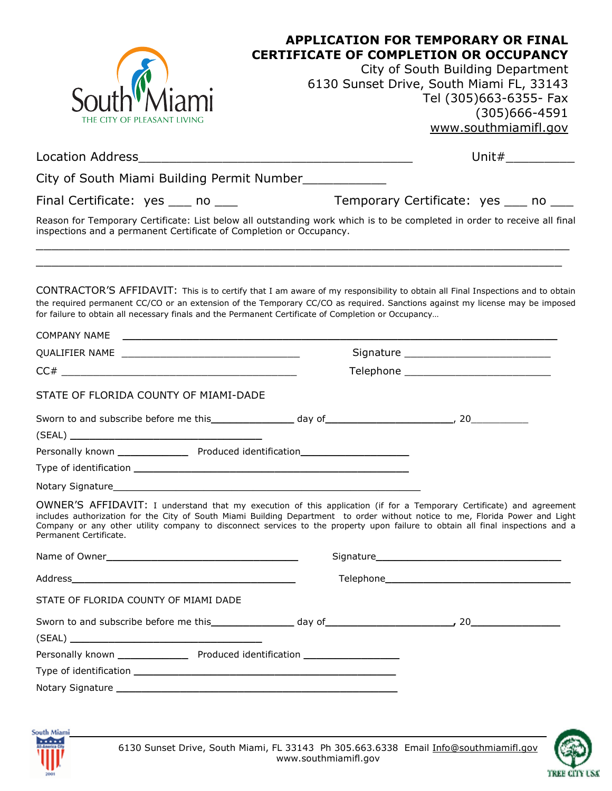|                                                                                                                                                                                                                                                                                                                                                                                                                   | <b>APPLICATION FOR TEMPORARY OR FINAL</b>                                                                                                                                                                                            |                                          |  |  |
|-------------------------------------------------------------------------------------------------------------------------------------------------------------------------------------------------------------------------------------------------------------------------------------------------------------------------------------------------------------------------------------------------------------------|--------------------------------------------------------------------------------------------------------------------------------------------------------------------------------------------------------------------------------------|------------------------------------------|--|--|
|                                                                                                                                                                                                                                                                                                                                                                                                                   | <b>CERTIFICATE OF COMPLETION OR OCCUPANCY</b><br>City of South Building Department                                                                                                                                                   |                                          |  |  |
|                                                                                                                                                                                                                                                                                                                                                                                                                   |                                                                                                                                                                                                                                      | 6130 Sunset Drive, South Miami FL, 33143 |  |  |
|                                                                                                                                                                                                                                                                                                                                                                                                                   |                                                                                                                                                                                                                                      | Tel (305)663-6355- Fax                   |  |  |
|                                                                                                                                                                                                                                                                                                                                                                                                                   |                                                                                                                                                                                                                                      | $(305)666 - 4591$                        |  |  |
| THE CITY OF PLEASANT LIVING                                                                                                                                                                                                                                                                                                                                                                                       |                                                                                                                                                                                                                                      | www.southmiamifl.gov                     |  |  |
| <b>Location Address</b>                                                                                                                                                                                                                                                                                                                                                                                           |                                                                                                                                                                                                                                      | Unit# $\_$                               |  |  |
| City of South Miami Building Permit Number                                                                                                                                                                                                                                                                                                                                                                        |                                                                                                                                                                                                                                      |                                          |  |  |
| Final Certificate: yes ____ no ____                                                                                                                                                                                                                                                                                                                                                                               |                                                                                                                                                                                                                                      | Temporary Certificate: yes ____ no ____  |  |  |
| Reason for Temporary Certificate: List below all outstanding work which is to be completed in order to receive all final<br>inspections and a permanent Certificate of Completion or Occupancy.                                                                                                                                                                                                                   |                                                                                                                                                                                                                                      |                                          |  |  |
| CONTRACTOR'S AFFIDAVIT: This is to certify that I am aware of my responsibility to obtain all Final Inspections and to obtain<br>the required permanent CC/CO or an extension of the Temporary CC/CO as required. Sanctions against my license may be imposed<br>for failure to obtain all necessary finals and the Permanent Certificate of Completion or Occupancy                                              |                                                                                                                                                                                                                                      |                                          |  |  |
|                                                                                                                                                                                                                                                                                                                                                                                                                   |                                                                                                                                                                                                                                      |                                          |  |  |
|                                                                                                                                                                                                                                                                                                                                                                                                                   |                                                                                                                                                                                                                                      | Signature _____________________________  |  |  |
|                                                                                                                                                                                                                                                                                                                                                                                                                   |                                                                                                                                                                                                                                      |                                          |  |  |
| STATE OF FLORIDA COUNTY OF MIAMI-DADE                                                                                                                                                                                                                                                                                                                                                                             |                                                                                                                                                                                                                                      |                                          |  |  |
|                                                                                                                                                                                                                                                                                                                                                                                                                   |                                                                                                                                                                                                                                      |                                          |  |  |
|                                                                                                                                                                                                                                                                                                                                                                                                                   |                                                                                                                                                                                                                                      |                                          |  |  |
| Personally known __________________ Produced identification_____________________                                                                                                                                                                                                                                                                                                                                  |                                                                                                                                                                                                                                      |                                          |  |  |
|                                                                                                                                                                                                                                                                                                                                                                                                                   |                                                                                                                                                                                                                                      |                                          |  |  |
| Notary Signature_                                                                                                                                                                                                                                                                                                                                                                                                 | <u>and the state of the state of the state of the state of the state of the state of the state of the state of the state of the state of the state of the state of the state of the state of the state of the state of the state</u> |                                          |  |  |
| OWNER'S AFFIDAVIT: I understand that my execution of this application (if for a Temporary Certificate) and agreement<br>includes authorization for the City of South Miami Building Department to order without notice to me, Florida Power and Light<br>Company or any other utility company to disconnect services to the property upon failure to obtain all final inspections and a<br>Permanent Certificate. |                                                                                                                                                                                                                                      |                                          |  |  |
|                                                                                                                                                                                                                                                                                                                                                                                                                   |                                                                                                                                                                                                                                      |                                          |  |  |
|                                                                                                                                                                                                                                                                                                                                                                                                                   |                                                                                                                                                                                                                                      |                                          |  |  |
| STATE OF FLORIDA COUNTY OF MIAMI DADE                                                                                                                                                                                                                                                                                                                                                                             |                                                                                                                                                                                                                                      |                                          |  |  |
|                                                                                                                                                                                                                                                                                                                                                                                                                   |                                                                                                                                                                                                                                      |                                          |  |  |
|                                                                                                                                                                                                                                                                                                                                                                                                                   |                                                                                                                                                                                                                                      |                                          |  |  |
| Personally known __________________ Produced identification ____________________                                                                                                                                                                                                                                                                                                                                  |                                                                                                                                                                                                                                      |                                          |  |  |
|                                                                                                                                                                                                                                                                                                                                                                                                                   |                                                                                                                                                                                                                                      |                                          |  |  |
|                                                                                                                                                                                                                                                                                                                                                                                                                   |                                                                                                                                                                                                                                      |                                          |  |  |
|                                                                                                                                                                                                                                                                                                                                                                                                                   |                                                                                                                                                                                                                                      |                                          |  |  |